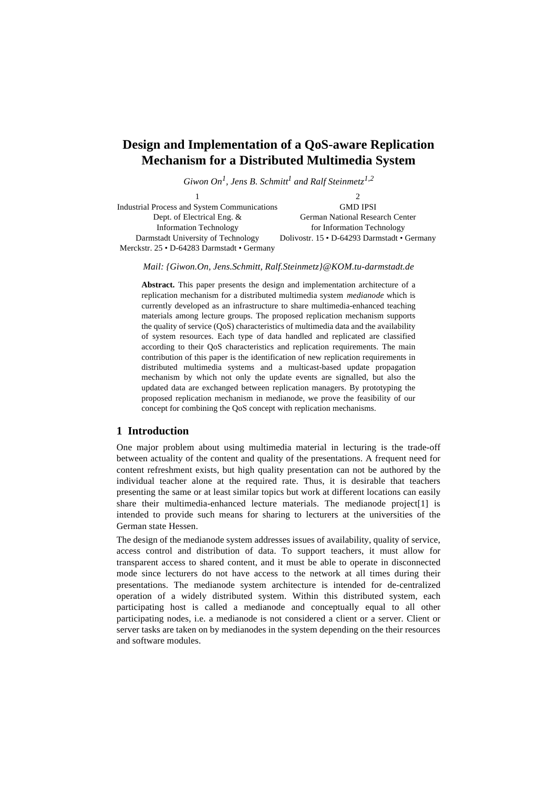# **Design and Implementation of a QoS-aware Replication Mechanism for a Distributed Multimedia System**

*Giwon On<sup>1</sup> , Jens B. Schmitt<sup>1</sup> and Ralf Steinmetz1,2*

1 Industrial Process and System Communications Dept. of Electrical Eng. & Information Technology Darmstadt University of Technology Merckstr. 25 • D-64283 Darmstadt • Germany 2 GMD IPSI German National Research Center for Information Technology Dolivostr. 15 • D-64293 Darmstadt • Germany

*Mail: {Giwon.On, Jens.Schmitt, Ralf.Steinmetz}@KOM.tu-darmstadt.de*

**Abstract.** This paper presents the design and implementation architecture of a replication mechanism for a distributed multimedia system *medianode* which is currently developed as an infrastructure to share multimedia-enhanced teaching materials among lecture groups. The proposed replication mechanism supports the quality of service (QoS) characteristics of multimedia data and the availability of system resources. Each type of data handled and replicated are classified according to their QoS characteristics and replication requirements. The main contribution of this paper is the identification of new replication requirements in distributed multimedia systems and a multicast-based update propagation mechanism by which not only the update events are signalled, but also the updated data are exchanged between replication managers. By prototyping the proposed replication mechanism in medianode, we prove the feasibility of our concept for combining the QoS concept with replication mechanisms.

## **1 Introduction**

One major problem about using multimedia material in lecturing is the trade-off between actuality of the content and quality of the presentations. A frequent need for content refreshment exists, but high quality presentation can not be authored by the individual teacher alone at the required rate. Thus, it is desirable that teachers presenting the same or at least similar topics but work at different locations can easily share their multimedia-enhanced lecture materials. The medianode project[1] is intended to provide such means for sharing to lecturers at the universities of the German state Hessen.

The design of the medianode system addresses issues of availability, quality of service, access control and distribution of data. To support teachers, it must allow for transparent access to shared content, and it must be able to operate in disconnected mode since lecturers do not have access to the network at all times during their presentations. The medianode system architecture is intended for de-centralized operation of a widely distributed system. Within this distributed system, each participating host is called a medianode and conceptually equal to all other participating nodes, i.e. a medianode is not considered a client or a server. Client or server tasks are taken on by medianodes in the system depending on the their resources and software modules.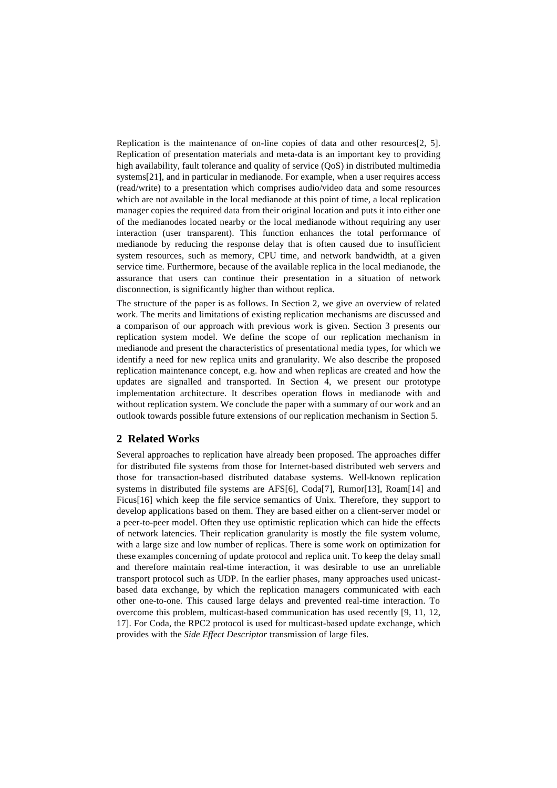Replication is the maintenance of on-line copies of data and other resources $[2, 5]$ . Replication of presentation materials and meta-data is an important key to providing high availability, fault tolerance and quality of service (QoS) in distributed multimedia systems[21], and in particular in medianode. For example, when a user requires access (read/write) to a presentation which comprises audio/video data and some resources which are not available in the local medianode at this point of time, a local replication manager copies the required data from their original location and puts it into either one of the medianodes located nearby or the local medianode without requiring any user interaction (user transparent). This function enhances the total performance of medianode by reducing the response delay that is often caused due to insufficient system resources, such as memory, CPU time, and network bandwidth, at a given service time. Furthermore, because of the available replica in the local medianode, the assurance that users can continue their presentation in a situation of network disconnection, is significantly higher than without replica.

The structure of the paper is as follows. In Section 2, we give an overview of related work. The merits and limitations of existing replication mechanisms are discussed and a comparison of our approach with previous work is given. Section 3 presents our replication system model. We define the scope of our replication mechanism in medianode and present the characteristics of presentational media types, for which we identify a need for new replica units and granularity. We also describe the proposed replication maintenance concept, e.g. how and when replicas are created and how the updates are signalled and transported. In Section 4, we present our prototype implementation architecture. It describes operation flows in medianode with and without replication system. We conclude the paper with a summary of our work and an outlook towards possible future extensions of our replication mechanism in Section 5.

## **2 Related Works**

Several approaches to replication have already been proposed. The approaches differ for distributed file systems from those for Internet-based distributed web servers and those for transaction-based distributed database systems. Well-known replication systems in distributed file systems are AFS[6], Coda[7], Rumor[13], Roam[14] and Ficus[16] which keep the file service semantics of Unix. Therefore, they support to develop applications based on them. They are based either on a client-server model or a peer-to-peer model. Often they use optimistic replication which can hide the effects of network latencies. Their replication granularity is mostly the file system volume, with a large size and low number of replicas. There is some work on optimization for these examples concerning of update protocol and replica unit. To keep the delay small and therefore maintain real-time interaction, it was desirable to use an unreliable transport protocol such as UDP. In the earlier phases, many approaches used unicastbased data exchange, by which the replication managers communicated with each other one-to-one. This caused large delays and prevented real-time interaction. To overcome this problem, multicast-based communication has used recently [9, 11, 12, 17]. For Coda, the RPC2 protocol is used for multicast-based update exchange, which provides with the *Side Effect Descriptor* transmission of large files.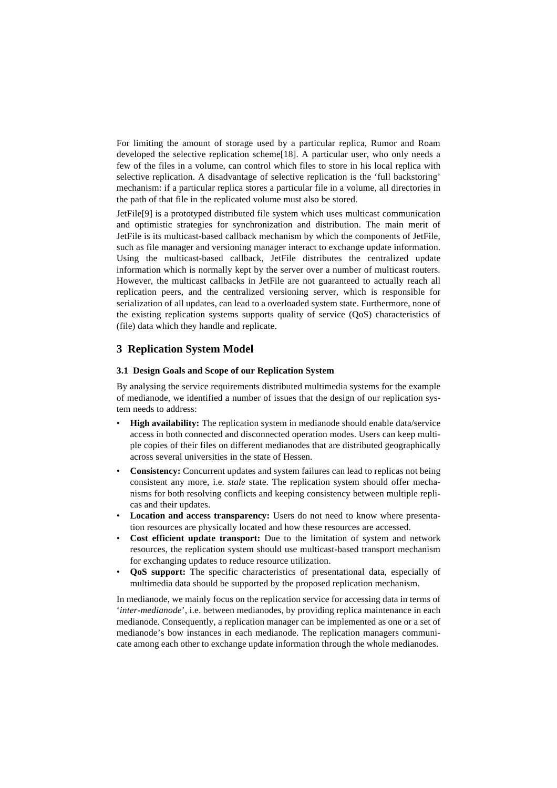For limiting the amount of storage used by a particular replica, Rumor and Roam developed the selective replication scheme[18]. A particular user, who only needs a few of the files in a volume, can control which files to store in his local replica with selective replication. A disadvantage of selective replication is the 'full backstoring' mechanism: if a particular replica stores a particular file in a volume, all directories in the path of that file in the replicated volume must also be stored.

JetFile[9] is a prototyped distributed file system which uses multicast communication and optimistic strategies for synchronization and distribution. The main merit of JetFile is its multicast-based callback mechanism by which the components of JetFile, such as file manager and versioning manager interact to exchange update information. Using the multicast-based callback, JetFile distributes the centralized update information which is normally kept by the server over a number of multicast routers. However, the multicast callbacks in JetFile are not guaranteed to actually reach all replication peers, and the centralized versioning server, which is responsible for serialization of all updates, can lead to a overloaded system state. Furthermore, none of the existing replication systems supports quality of service (QoS) characteristics of (file) data which they handle and replicate.

# **3 Replication System Model**

#### **3.1 Design Goals and Scope of our Replication System**

By analysing the service requirements distributed multimedia systems for the example of medianode, we identified a number of issues that the design of our replication system needs to address:

- **High availability:** The replication system in medianode should enable data/service access in both connected and disconnected operation modes. Users can keep multiple copies of their files on different medianodes that are distributed geographically across several universities in the state of Hessen.
- **Consistency:** Concurrent updates and system failures can lead to replicas not being consistent any more, i.e. *stale* state. The replication system should offer mechanisms for both resolving conflicts and keeping consistency between multiple replicas and their updates.
- **Location and access transparency:** Users do not need to know where presentation resources are physically located and how these resources are accessed.
- **Cost efficient update transport:** Due to the limitation of system and network resources, the replication system should use multicast-based transport mechanism for exchanging updates to reduce resource utilization.
- **QoS support:** The specific characteristics of presentational data, especially of multimedia data should be supported by the proposed replication mechanism.

In medianode, we mainly focus on the replication service for accessing data in terms of '*inter-medianode*', i.e. between medianodes, by providing replica maintenance in each medianode. Consequently, a replication manager can be implemented as one or a set of medianode's bow instances in each medianode. The replication managers communicate among each other to exchange update information through the whole medianodes.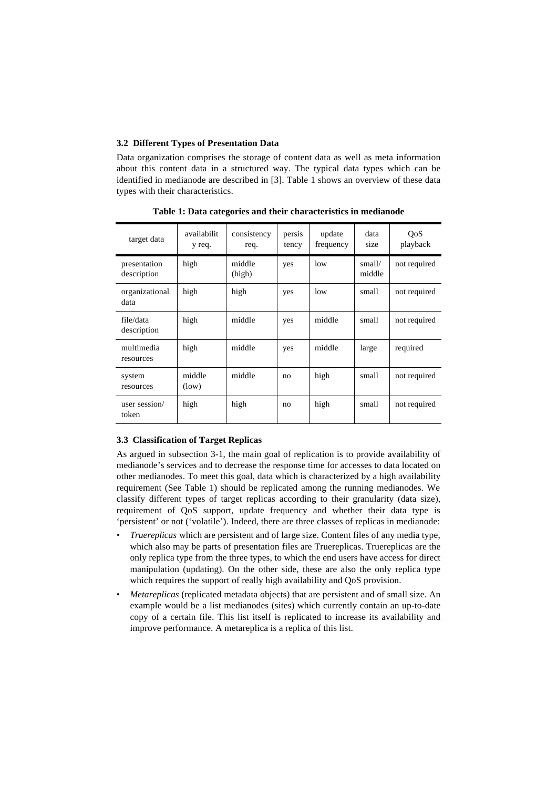## **3.2 Different Types of Presentation Data**

Data organization comprises the storage of content data as well as meta information about this content data in a structured way. The typical data types which can be identified in medianode are described in [3]. Table 1 shows an overview of these data types with their characteristics.

| target data                 | availabilit<br>y req. | consistency<br>req. | persis<br>tency | update<br>frequency | data<br>size     | <b>OoS</b><br>playback |
|-----------------------------|-----------------------|---------------------|-----------------|---------------------|------------------|------------------------|
| presentation<br>description | high                  | middle<br>(high)    | yes             | low                 | small/<br>middle | not required           |
| organizational<br>data      | high                  | high                | yes             | low                 | small            | not required           |
| file/data<br>description    | high                  | middle              | yes             | middle              | small            | not required           |
| multimedia<br>resources     | high                  | middle              | yes             | middle              | large            | required               |
| system<br>resources         | middle<br>(low)       | middle              | no              | high                | small            | not required           |
| user session/<br>token      | high                  | high                | no              | high                | small            | not required           |

**Table 1: Data categories and their characteristics in medianode**

## **3.3 Classification of Target Replicas**

As argued in subsection 3-1, the main goal of replication is to provide availability of medianode's services and to decrease the response time for accesses to data located on other medianodes. To meet this goal, data which is characterized by a high availability requirement (See Table 1) should be replicated among the running medianodes. We classify different types of target replicas according to their granularity (data size), requirement of QoS support, update frequency and whether their data type is 'persistent' or not ('volatile'). Indeed, there are three classes of replicas in medianode:

- *• Truereplicas* which are persistent and of large size. Content files of any media type, which also may be parts of presentation files are Truereplicas. Truereplicas are the only replica type from the three types, to which the end users have access for direct manipulation (updating). On the other side, these are also the only replica type which requires the support of really high availability and OoS provision.
- *Metareplicas* (replicated metadata objects) that are persistent and of small size. An example would be a list medianodes (sites) which currently contain an up-to-date copy of a certain file. This list itself is replicated to increase its availability and improve performance. A metareplica is a replica of this list.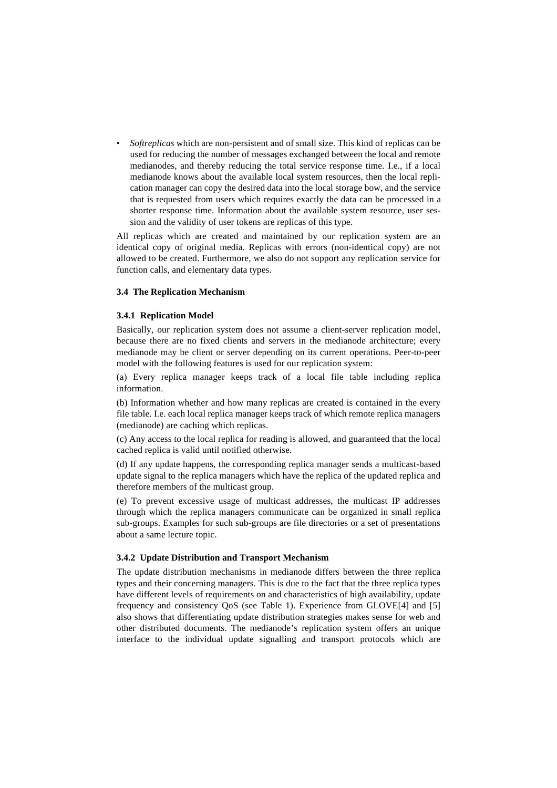• *Softreplicas* which are non-persistent and of small size. This kind of replicas can be used for reducing the number of messages exchanged between the local and remote medianodes, and thereby reducing the total service response time. I.e., if a local medianode knows about the available local system resources, then the local replication manager can copy the desired data into the local storage bow, and the service that is requested from users which requires exactly the data can be processed in a shorter response time. Information about the available system resource, user session and the validity of user tokens are replicas of this type.

All replicas which are created and maintained by our replication system are an identical copy of original media. Replicas with errors (non-identical copy) are not allowed to be created. Furthermore, we also do not support any replication service for function calls, and elementary data types.

## **3.4 The Replication Mechanism**

## **3.4.1 Replication Model**

Basically, our replication system does not assume a client-server replication model, because there are no fixed clients and servers in the medianode architecture; every medianode may be client or server depending on its current operations. Peer-to-peer model with the following features is used for our replication system:

(a) Every replica manager keeps track of a local file table including replica information.

(b) Information whether and how many replicas are created is contained in the every file table. I.e. each local replica manager keeps track of which remote replica managers (medianode) are caching which replicas.

(c) Any access to the local replica for reading is allowed, and guaranteed that the local cached replica is valid until notified otherwise.

(d) If any update happens, the corresponding replica manager sends a multicast-based update signal to the replica managers which have the replica of the updated replica and therefore members of the multicast group.

(e) To prevent excessive usage of multicast addresses, the multicast IP addresses through which the replica managers communicate can be organized in small replica sub-groups. Examples for such sub-groups are file directories or a set of presentations about a same lecture topic.

## **3.4.2 Update Distribution and Transport Mechanism**

The update distribution mechanisms in medianode differs between the three replica types and their concerning managers. This is due to the fact that the three replica types have different levels of requirements on and characteristics of high availability, update frequency and consistency QoS (see Table 1). Experience from GLOVE[4] and [5] also shows that differentiating update distribution strategies makes sense for web and other distributed documents. The medianode's replication system offers an unique interface to the individual update signalling and transport protocols which are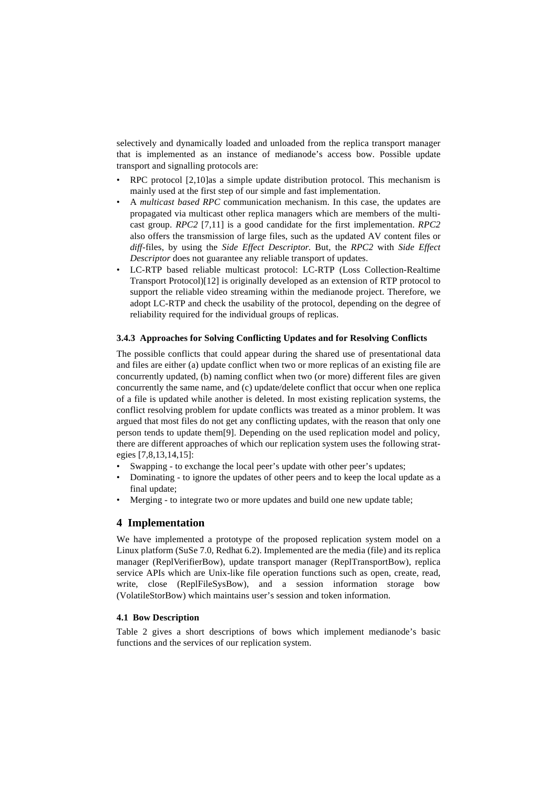selectively and dynamically loaded and unloaded from the replica transport manager that is implemented as an instance of medianode's access bow. Possible update transport and signalling protocols are:

- RPC protocol [2,10]as a simple update distribution protocol. This mechanism is mainly used at the first step of our simple and fast implementation.
- A *multicast based RPC* communication mechanism. In this case, the updates are propagated via multicast other replica managers which are members of the multicast group. *RPC2* [7,11] is a good candidate for the first implementation. *RPC2* also offers the transmission of large files, such as the updated AV content files or *diff*-files, by using the *Side Effect Descriptor*. But, the *RPC2* with *Side Effect Descriptor* does not guarantee any reliable transport of updates.
- LC-RTP based reliable multicast protocol: LC-RTP (Loss Collection-Realtime Transport Protocol)[12] is originally developed as an extension of RTP protocol to support the reliable video streaming within the medianode project. Therefore, we adopt LC-RTP and check the usability of the protocol, depending on the degree of reliability required for the individual groups of replicas.

## **3.4.3 Approaches for Solving Conflicting Updates and for Resolving Conflicts**

The possible conflicts that could appear during the shared use of presentational data and files are either (a) update conflict when two or more replicas of an existing file are concurrently updated, (b) naming conflict when two (or more) different files are given concurrently the same name, and (c) update/delete conflict that occur when one replica of a file is updated while another is deleted. In most existing replication systems, the conflict resolving problem for update conflicts was treated as a minor problem. It was argued that most files do not get any conflicting updates, with the reason that only one person tends to update them[9]. Depending on the used replication model and policy, there are different approaches of which our replication system uses the following strategies [7,8,13,14,15]:

- Swapping to exchange the local peer's update with other peer's updates;
- Dominating to ignore the updates of other peers and to keep the local update as a final update;
- Merging to integrate two or more updates and build one new update table;

# **4 Implementation**

We have implemented a prototype of the proposed replication system model on a Linux platform (SuSe 7.0, Redhat 6.2). Implemented are the media (file) and its replica manager (ReplVerifierBow), update transport manager (ReplTransportBow), replica service APIs which are Unix-like file operation functions such as open, create, read, write, close (ReplFileSysBow), and a session information storage bow (VolatileStorBow) which maintains user's session and token information.

#### **4.1 Bow Description**

Table 2 gives a short descriptions of bows which implement medianode's basic functions and the services of our replication system.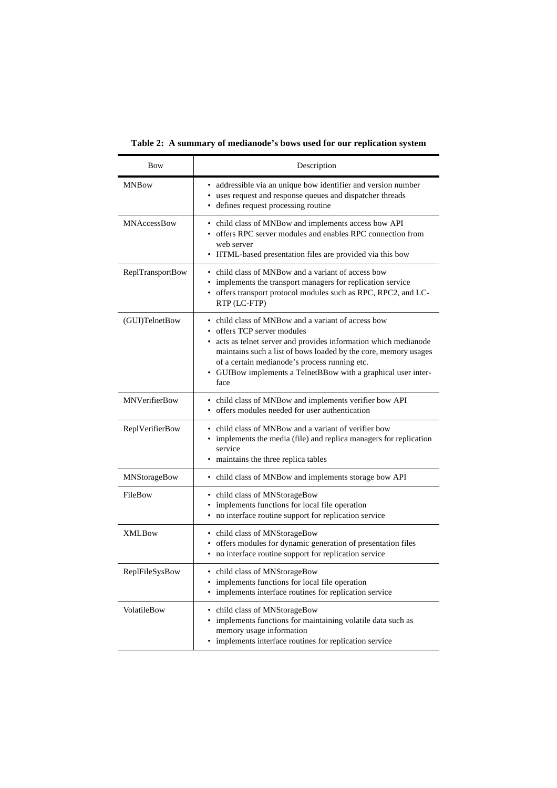| Bow                  | Description                                                                                                                                                                                                                                                                                                                                        |  |  |
|----------------------|----------------------------------------------------------------------------------------------------------------------------------------------------------------------------------------------------------------------------------------------------------------------------------------------------------------------------------------------------|--|--|
| <b>MNBow</b>         | • addressible via an unique bow identifier and version number<br>• uses request and response queues and dispatcher threads<br>• defines request processing routine                                                                                                                                                                                 |  |  |
| MNAccessBow          | • child class of MNBow and implements access bow API<br>• offers RPC server modules and enables RPC connection from<br>web server<br>• HTML-based presentation files are provided via this bow                                                                                                                                                     |  |  |
| ReplTransportBow     | • child class of MNBow and a variant of access bow<br>• implements the transport managers for replication service<br>• offers transport protocol modules such as RPC, RPC2, and LC-<br>RTP (LC-FTP)                                                                                                                                                |  |  |
| (GUI)TelnetBow       | • child class of MNBow and a variant of access bow<br>• offers TCP server modules<br>• acts as telnet server and provides information which medianode<br>maintains such a list of bows loaded by the core, memory usages<br>of a certain medianode's process running etc.<br>• GUIBow implements a TelnetBBow with a graphical user inter-<br>face |  |  |
| <b>MNVerifierBow</b> | • child class of MNBow and implements verifier bow API<br>• offers modules needed for user authentication                                                                                                                                                                                                                                          |  |  |
| ReplVerifierBow      | • child class of MNBow and a variant of verifier bow<br>• implements the media (file) and replica managers for replication<br>service<br>• maintains the three replica tables                                                                                                                                                                      |  |  |
| <b>MNStorageBow</b>  | • child class of MNBow and implements storage bow API                                                                                                                                                                                                                                                                                              |  |  |
| FileBow              | • child class of MNStorageBow<br>• implements functions for local file operation<br>• no interface routine support for replication service                                                                                                                                                                                                         |  |  |
| <b>XMLBow</b>        | • child class of MNStorageBow<br>• offers modules for dynamic generation of presentation files<br>• no interface routine support for replication service                                                                                                                                                                                           |  |  |
| ReplFileSysBow       | • child class of MNStorageBow<br>• implements functions for local file operation<br>• implements interface routines for replication service                                                                                                                                                                                                        |  |  |
| VolatileBow          | • child class of MNStorageBow<br>• implements functions for maintaining volatile data such as<br>memory usage information<br>• implements interface routines for replication service                                                                                                                                                               |  |  |

**Table 2: A summary of medianode's bows used for our replication system**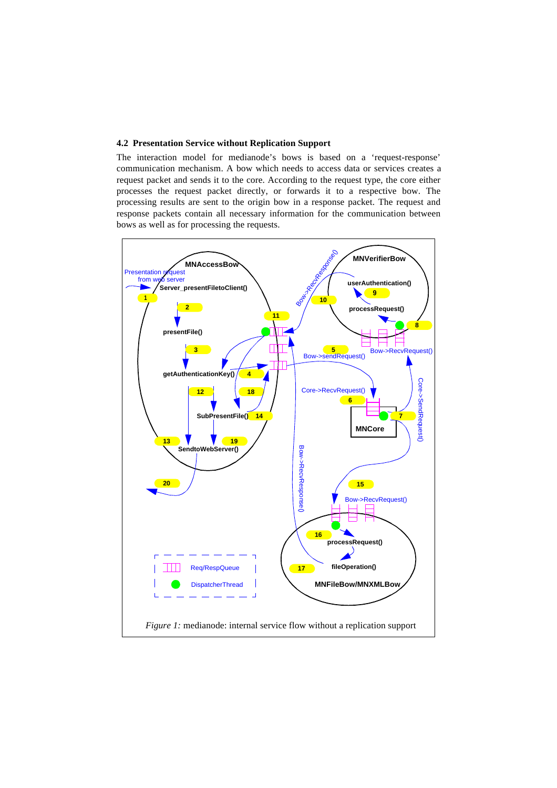## **4.2 Presentation Service without Replication Support**

The interaction model for medianode's bows is based on a 'request-response' communication mechanism. A bow which needs to access data or services creates a request packet and sends it to the core. According to the request type, the core either processes the request packet directly, or forwards it to a respective bow. The processing results are sent to the origin bow in a response packet. The request and response packets contain all necessary information for the communication between bows as well as for processing the requests.

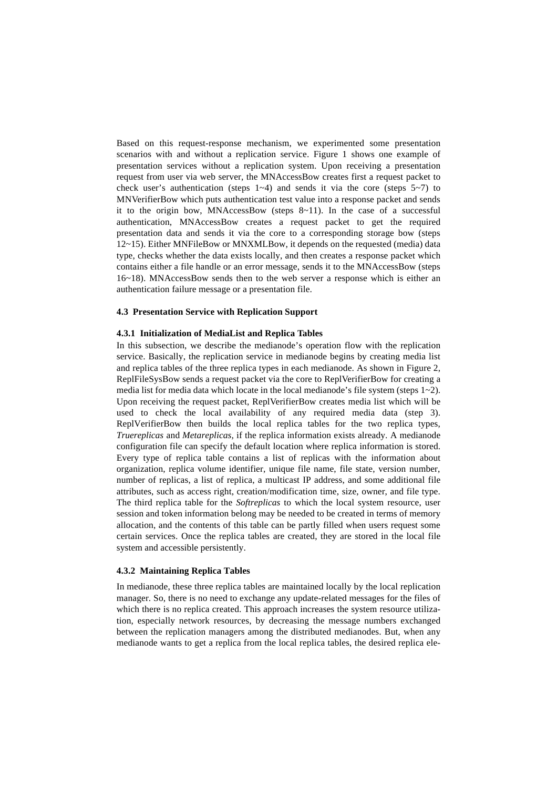Based on this request-response mechanism, we experimented some presentation scenarios with and without a replication service. Figure 1 shows one example of presentation services without a replication system. Upon receiving a presentation request from user via web server, the MNAccessBow creates first a request packet to check user's authentication (steps  $1~-4$ ) and sends it via the core (steps  $5~-7$ ) to MNVerifierBow which puts authentication test value into a response packet and sends it to the origin bow, MNAccessBow (steps 8~11). In the case of a successful authentication, MNAccessBow creates a request packet to get the required presentation data and sends it via the core to a corresponding storage bow (steps 12~15). Either MNFileBow or MNXMLBow, it depends on the requested (media) data type, checks whether the data exists locally, and then creates a response packet which contains either a file handle or an error message, sends it to the MNAccessBow (steps 16~18). MNAccessBow sends then to the web server a response which is either an authentication failure message or a presentation file.

#### **4.3 Presentation Service with Replication Support**

#### **4.3.1 Initialization of MediaList and Replica Tables**

In this subsection, we describe the medianode's operation flow with the replication service. Basically, the replication service in medianode begins by creating media list and replica tables of the three replica types in each medianode. As shown in Figure 2, ReplFileSysBow sends a request packet via the core to ReplVerifierBow for creating a media list for media data which locate in the local medianode's file system (steps  $1~2$ ). Upon receiving the request packet, ReplVerifierBow creates media list which will be used to check the local availability of any required media data (step 3). ReplVerifierBow then builds the local replica tables for the two replica types, *Truereplicas* and *Metareplicas,* if the replica information exists already. A medianode configuration file can specify the default location where replica information is stored. Every type of replica table contains a list of replicas with the information about organization, replica volume identifier, unique file name, file state, version number, number of replicas, a list of replica, a multicast IP address, and some additional file attributes, such as access right, creation/modification time, size, owner, and file type. The third replica table for the *Softreplicas* to which the local system resource, user session and token information belong may be needed to be created in terms of memory allocation, and the contents of this table can be partly filled when users request some certain services. Once the replica tables are created, they are stored in the local file system and accessible persistently.

#### **4.3.2 Maintaining Replica Tables**

In medianode, these three replica tables are maintained locally by the local replication manager. So, there is no need to exchange any update-related messages for the files of which there is no replica created. This approach increases the system resource utilization, especially network resources, by decreasing the message numbers exchanged between the replication managers among the distributed medianodes. But, when any medianode wants to get a replica from the local replica tables, the desired replica ele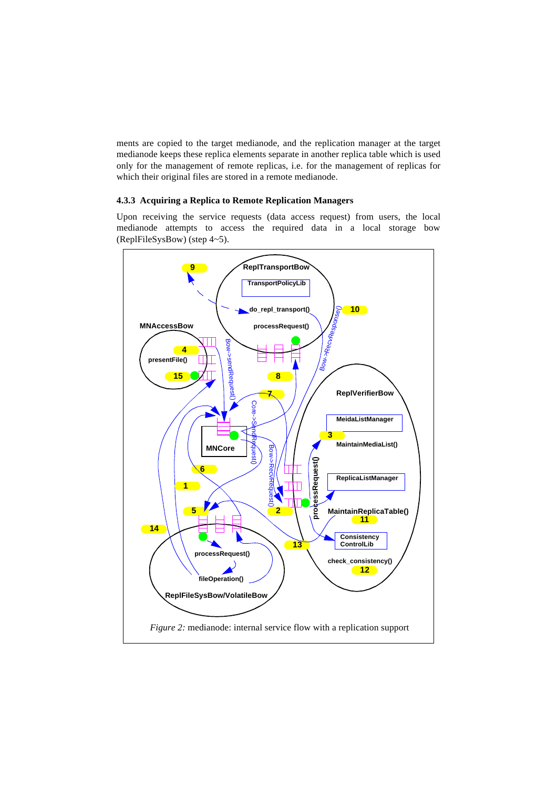ments are copied to the target medianode, and the replication manager at the target medianode keeps these replica elements separate in another replica table which is used only for the management of remote replicas, i.e. for the management of replicas for which their original files are stored in a remote medianode.

# **4.3.3 Acquiring a Replica to Remote Replication Managers**

Upon receiving the service requests (data access request) from users, the local medianode attempts to access the required data in a local storage bow (ReplFileSysBow) (step 4~5).

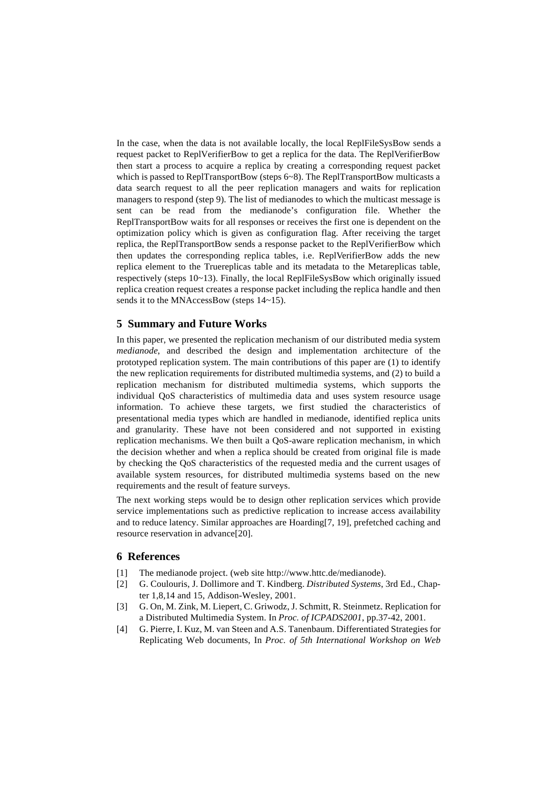In the case, when the data is not available locally, the local ReplFileSysBow sends a request packet to ReplVerifierBow to get a replica for the data. The ReplVerifierBow then start a process to acquire a replica by creating a corresponding request packet which is passed to ReplTransportBow (steps 6~8). The ReplTransportBow multicasts a data search request to all the peer replication managers and waits for replication managers to respond (step 9). The list of medianodes to which the multicast message is sent can be read from the medianode's configuration file. Whether the ReplTransportBow waits for all responses or receives the first one is dependent on the optimization policy which is given as configuration flag. After receiving the target replica, the ReplTransportBow sends a response packet to the ReplVerifierBow which then updates the corresponding replica tables, i.e. ReplVerifierBow adds the new replica element to the Truereplicas table and its metadata to the Metareplicas table, respectively (steps 10~13). Finally, the local ReplFileSysBow which originally issued replica creation request creates a response packet including the replica handle and then sends it to the MNAccessBow (steps  $14~15$ ).

## **5 Summary and Future Works**

In this paper, we presented the replication mechanism of our distributed media system *medianode*, and described the design and implementation architecture of the prototyped replication system. The main contributions of this paper are (1) to identify the new replication requirements for distributed multimedia systems, and (2) to build a replication mechanism for distributed multimedia systems, which supports the individual QoS characteristics of multimedia data and uses system resource usage information. To achieve these targets, we first studied the characteristics of presentational media types which are handled in medianode, identified replica units and granularity. These have not been considered and not supported in existing replication mechanisms. We then built a QoS-aware replication mechanism, in which the decision whether and when a replica should be created from original file is made by checking the QoS characteristics of the requested media and the current usages of available system resources, for distributed multimedia systems based on the new requirements and the result of feature surveys.

The next working steps would be to design other replication services which provide service implementations such as predictive replication to increase access availability and to reduce latency. Similar approaches are Hoarding[7, 19], prefetched caching and resource reservation in advance[20].

# **6 References**

- [1] The medianode project. (web site http://www.httc.de/medianode).
- [2] G. Coulouris, J. Dollimore and T. Kindberg. *Distributed Systems*, 3rd Ed., Chapter 1,8,14 and 15, Addison-Wesley, 2001.
- [3] G. On, M. Zink, M. Liepert, C. Griwodz, J. Schmitt, R. Steinmetz. Replication for a Distributed Multimedia System. In *Proc. of ICPADS2001*, pp.37-42, 2001.
- [4] G. Pierre, I. Kuz, M. van Steen and A.S. Tanenbaum. Differentiated Strategies for Replicating Web documents, In *Proc. of 5th International Workshop on Web*